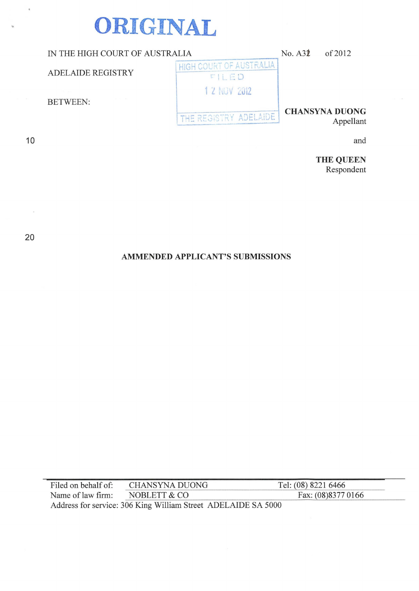# **ORIGINAL**

| IN THE HIGH COURT OF AUSTRALIA |                                  | No. A32 | of 2012                            |
|--------------------------------|----------------------------------|---------|------------------------------------|
| <b>ADELAIDE REGISTRY</b>       | HIGH COURT OF AUSTRALIA<br>FILED |         |                                    |
| <b>BETWEEN:</b>                | 1 2 NOV 2012                     |         |                                    |
|                                | THE REGISTRY ADELAIDE            |         | <b>CHANSYNA DUONG</b><br>Appellant |
|                                |                                  |         |                                    |

and

**THE QUEEN**  Respondent

20

 $\bar{\alpha}$ 

10

..

 $\bar{q}$ 

# **AMMENDED APPLICANT'S SUBMISSIONS**

| Filed on behalf of:                                           | CHANSYNA DUONG | Tel: (08) 8221 6466 |
|---------------------------------------------------------------|----------------|---------------------|
| Name of law firm:                                             | NOBLETT & CO   | Fax: (08)8377 0166  |
| Address for service: 306 King William Street ADELAIDE SA 5000 |                |                     |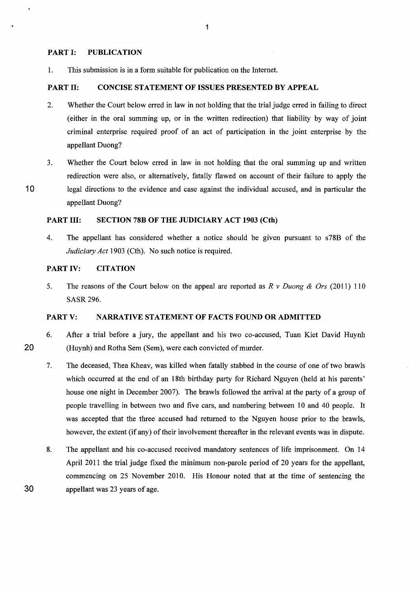# PART I: PUBLICATION

1. This submission is in a form suitable for publication on the Internet.

# PART II: CONCISE STATEMENT OF ISSUES PRESENTED BY APPEAL

- 2. Whether the Court below erred in law in not holding that the trial judge erred in failing to direct (either in the oral summing up, or in the written redirection) that liability by way of joint criminal enterprise required proof of an act of participation in the joint enterprise by the appellant Duong?
- 3. Whether the Court below erred in law in not holding that the oral summing up and written redirection were also, or alternatively, fatally flawed on account of their failure to apply the 10 legal directions to the evidence and case against the individual accused, and in particular the appellant Duong?

# PART III: SECTION 78B OF THE JUDICIARY ACT 1903 (Cth)

4. The appellant has considered whether a notice should be given pursuant to s78B of the *Judiciary Act* 1903 (Cth). No such notice is required.

# PART IV: CITATION

20

30

5. The reasons of the Court below on the appeal are reported as *R v Duong* & *Ors* (2011) 110 SASR296.

# PARTV: NARRATIVE STATEMENT OF FACTS FOUND OR ADMITTED

- 6. After a trial before a jury, the appellant and his two co-accused, Tuan Kiet David Huynh (Huynh) and Rotha Sem (Sem), were each convicted of murder.
- 7. The deceased, Thea Kheav, was killed when fatally stabbed in the course of one of two brawls which occurred at the end of an 18th birthday party for Richard Nguyen (held at his parents' house one night in December 2007). The brawls followed the arrival at the party of a group of people travelling in between two and five cars, and numbering between 10 and 40 people. It was accepted that the three accused had returned to the Nguyen house prior to the brawls, however, the extent (if any) of their involvement thereafter in the relevant events was in dispute.
- 8. The appellant and his co-accused received mandatory sentences of life imprisonment. On 14 April 2011 the trial judge fixed the minimum non-parole period of 20 years for the appellant, commencing on 25 November 2010. His Honour noted that at the time of sentencing the appellant was 23 years of age.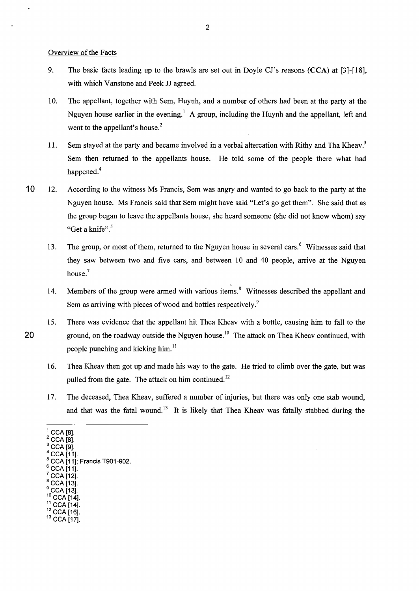Overview of the Facts

- 9. The basic facts leading up to the brawls are set out in Doyle CJ's reasons (CCA) at [3]-[18], with which Vanstone and Peek JJ agreed.
- 10. The appellant, together with Sem, Huynh, and a number of others had been at the party at the Nguyen house earlier in the evening.<sup>1</sup> A group, including the Huynh and the appellant, left and went to the appellant's house.<sup>2</sup>
- 11. Sem stayed at the party and became involved in a verbal altercation with Rithy and Tha Kheav.<sup>3</sup> Sem then returned to the appellants house. He told some of the people there what had happened.<sup>4</sup>
- 10 12. According to the witness Ms Francis, Sem was angry and wanted to go back to the party at the Nguyen house. Ms Francis said that Sem might have said "Let's go get them". She said that as the group began to leave the appellants house, she heard someone (she did not know whom) say "Get a knife".<sup>5</sup>
	- 13. The group, or most of them, returned to the Nguyen house in several cars, <sup>6</sup> Witnesses said that they saw between two and five cars, and between 10 and 40 people, arrive at the Nguyen house.<sup>7</sup>
	- 14. Members of the group were armed with various items.<sup>8</sup> Witnesses described the appellant and Sem as arriving with pieces of wood and bottles respectively.<sup>9</sup>
- 15. There was evidence that the appellant hit Thea Kheav with a bottle, causing him to fall to the 20 ground, on the roadway outside the Nguyen house.<sup>10</sup> The attack on Thea Kheav continued, with people punching and kicking him. $^{11}$ 
	- 16. Thea Kheav then got up and made his way to the gate. He tried to climb over the gate, but was pulled from the gate. The attack on him continued.<sup>12</sup>
	- 17. The deceased, Thea Kheav, suffered a number of injuries, but there was only one stab wound, and that was the fatal wound.<sup>13</sup> It is likely that Thea Kheav was fatally stabbed during the

- 
- 
- 
- ° CCA [13].<br><sup>10</sup> CCA [14].<br><sup>11</sup> CCA [14].<br><sup>12</sup> CCA [16].<br><sup>13</sup> CCA [17].
- 
- 

<sup>&</sup>lt;sup>1</sup> CCA [8].<br><sup>2</sup> CCA [8].<br><sup>3</sup> CCA [9].<br><sup>4</sup> CCA [11].<br><sup>5</sup> CCA [11]; Francis T901-902.<br><sup>6</sup> CCA [11].<br><sup>7</sup> CCA [13].<br><sup>9</sup> CCA [13].<br><sup>9</sup> CCA [13].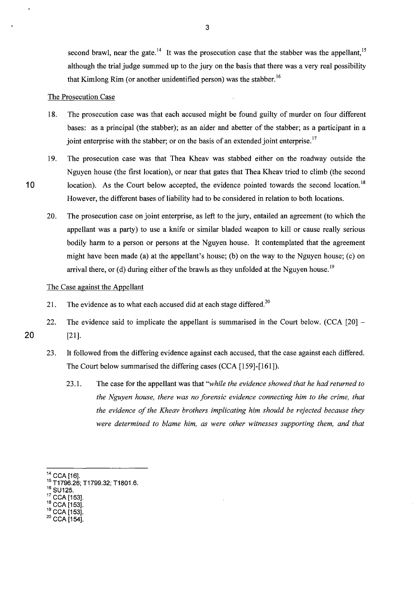second brawl, near the gate.<sup>14</sup> It was the prosecution case that the stabber was the appellant.<sup>15</sup> although the trial judge summed up to the jury on the basis that there was a very real possibility that Kimlong Rim (or another unidentified person) was the stabber.<sup>16</sup>

#### The Prosecution Case

- 18. The prosecution case was that each accused might be found guilty of murder on four different bases: as a principal (the stabber); as an aider and abetter of the stabber; as a participant in a joint enterprise with the stabber; or on the basis of an extended joint enterprise.<sup>17</sup>
- 19. The prosecution case was that Thea Kheav was stabbed either on the roadway outside the Nguyen house (the first location), or near that gates that Thea Kheav tried to climb (the second 10 location). As the Court below accepted, the evidence pointed towards the second location.<sup>18</sup> However, the different bases of liability had to be considered in relation to both locations.
	- 20. The prosecution case on joint enterprise, as left to the jury, entailed an agreement (to which the appellant was a party) to use a knife or similar bladed weapon to kill or cause really serious bodily harm to a person or persons at the Nguyen house. It contemplated that the agreement might have been made (a) at the appellant's house; (b) on the way to the Nguyen house; (c) on arrival there, or (d) during either of the brawls as they unfolded at the Nguyen house.<sup>19</sup>

# The Case against the Appellant

- 21. The evidence as to what each accused did at each stage differed.<sup>20</sup>
- 22. The evidence said to implicate the appellant is summarised in the Court below.  $(CCA | 20]$  20 [21].
	- 23. It followed from the differing evidence against each accused, that the case against each differed.
		- The Court below summarised the differing cases (CCA [159]-[161]).
			- 23 .1. The case for the appellant was that *"while the evidence showed that he had returned to the Nguyen house, there was no forensic evidence connecting him to the crime, that the evidence of the Kheav brothers implicating him should be rejected because they were determined to blame him, as were other witnesses supporting them, and that*

- 
- 
- $20$  CCA [154].

<sup>&</sup>lt;sup>14</sup> CCA [16].<br><sup>15</sup> T1796.26; T1799.32; T1801.6.<br><sup>16</sup> SU125.<br><sup>17</sup> CCA [153].<br><sup>18</sup> CCA [153].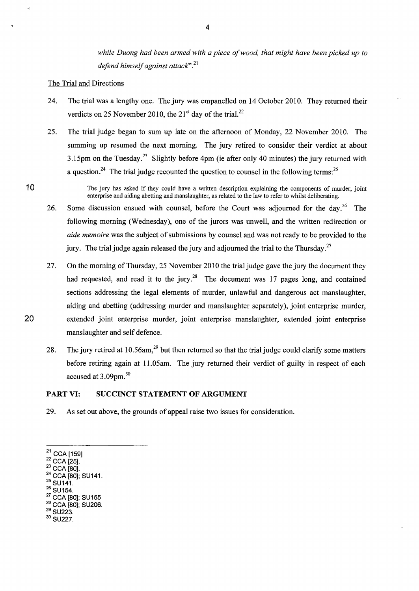while Duong had been armed with a piece of wood, that might have been picked up to *defend himself against attack''.*<sup>21</sup>

# The Trial and Directions

- 24. The trial was a lengthy one. The jury was empanelled on 14 October 2010. They returned their verdicts on 25 November 2010, the  $21<sup>st</sup>$  day of the trial.<sup>22</sup>
- 25. The trial judge began to sum up late on the afternoon of Monday, 22 November 2010. The summing up resumed the next morning. The jury retired to consider their verdict at about 3.15pm on the Tuesday.<sup>23</sup> Slightly before 4pm (ie after only 40 minutes) the jury returned with a question.<sup>24</sup> The trial judge recounted the question to counsel in the following terms:<sup>25</sup>

10 The jury has asked if they could have a written description explaining the components of murder, joint enterprise and aiding abetting and manslaughter, as related to the law to refer to whilst deliberating.

- 26. Some discussion ensued with counsel, before the Court was adjourned for the day.<sup>26</sup> The following morning (Wednesday), one of the jurors was unwell, and the written redirection or *aide memoire* was the subject of submissions by counsel and was not ready to be provided to the jury. The trial judge again released the jury and adjourned the trial to the Thursday.<sup>27</sup>
- 27. On the morning of Thursday, 25 November 2010 the trial judge gave the jury the document they had requested, and read it to the jury.<sup>28</sup> The document was 17 pages long, and contained sections addressing the legal elements of murder, unlawful and dangerous act manslaughter, aiding and abetting (addressing murder and manslaughter separately), joint enterprise murder, 20 extended joint enterprise murder, joint enterprise manslaughter, extended joint enterprise manslaughter and self defence.
	- 28. The jury retired at 10.56am,  $29$  but then returned so that the trial judge could clarify some matters before retiring again at 11.05am. The jury returned their verdict of guilty in respect of each accused at 3.09pm.<sup>30</sup>

# PART VI: SUCCINCT STATEMENT OF ARGUMENT

29. As set out above, the grounds of appeal raise two issues for consideration.

- 
- 
- 
- 
- <sup>21</sup> CCA [159]<br><sup>22</sup> CCA [25].<br><sup>23</sup> CCA [80].<br><sup>24</sup> CCA [80]; SU141.<br><sup>25</sup> SU154.<br><sup>27</sup> CCA [80]; SU155<br><sup>28</sup> CCA [80]; SU206.
- 
- $^{29}$  SU223.<br> $^{30}$  SU227.
-